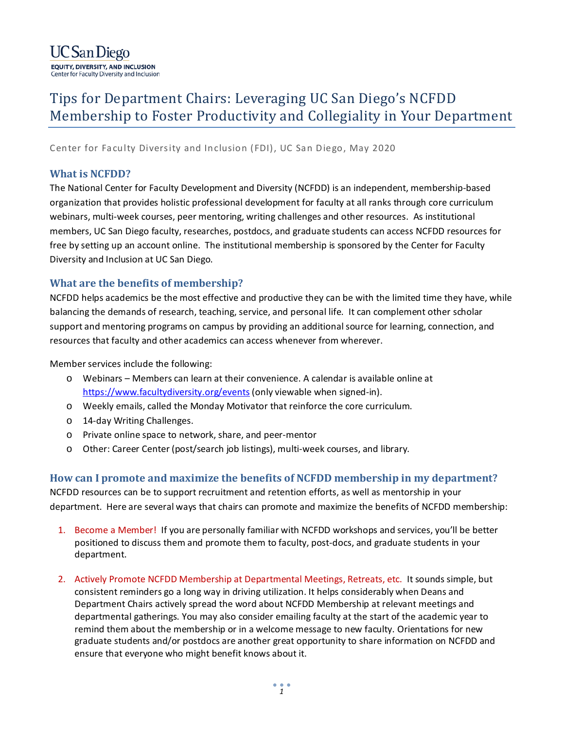

## Tips for Department Chairs: Leveraging UC San Diego's NCFDD Membership to Foster Productivity and Collegiality in Your Department

Center for Faculty Diversity and Inclusion (FDI), UC San Diego, May 2020

## **What is NCFDD?**

The National Center for Faculty Development and Diversity (NCFDD) is an independent, membership-based organization that provides holistic professional development for faculty at all ranks through core curriculum webinars, multi-week courses, peer mentoring, writing challenges and other resources. As institutional members, UC San Diego faculty, researches, postdocs, and graduate students can access NCFDD resources for free by setting up an account online. The institutional membership is sponsored by the Center for Faculty Diversity and Inclusion at UC San Diego.

## **What are the benefits of membership?**

NCFDD helps academics be the most effective and productive they can be with the limited time they have, while balancing the demands of research, teaching, service, and personal life. It can complement other scholar support and mentoring programs on campus by providing an additional source for learning, connection, and resources that faculty and other academics can access whenever from wherever.

Member services include the following:

- o Webinars Members can learn at their convenience. A calendar is available online at <https://www.facultydiversity.org/events> (only viewable when signed-in).
- o Weekly emails, called the Monday Motivator that reinforce the core curriculum.
- o 14-day Writing Challenges.
- o Private online space to network, share, and peer-mentor
- o Other: Career Center (post/search job listings), multi-week courses, and library.

**How can I promote and maximize the benefits of NCFDD membership in my department?**  NCFDD resources can be to support recruitment and retention efforts, as well as mentorship in your department. Here are several ways that chairs can promote and maximize the benefits of NCFDD membership:

- 1. Become a Member! If you are personally familiar with NCFDD workshops and services, you'll be better positioned to discuss them and promote them to faculty, post-docs, and graduate students in your department.
- 2. Actively Promote NCFDD Membership at Departmental Meetings, Retreats, etc. It sounds simple, but consistent reminders go a long way in driving utilization. It helps considerably when Deans and Department Chairs actively spread the word about NCFDD Membership at relevant meetings and departmental gatherings. You may also consider emailing faculty at the start of the academic year to remind them about the membership or in a welcome message to new faculty. Orientations for new graduate students and/or postdocs are another great opportunity to share information on NCFDD and ensure that everyone who might benefit knows about it.